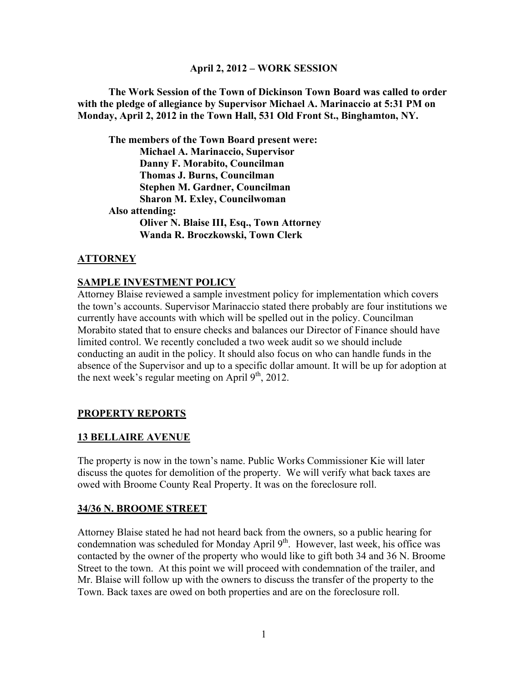### **April 2, 2012 – WORK SESSION**

**The Work Session of the Town of Dickinson Town Board was called to order with the pledge of allegiance by Supervisor Michael A. Marinaccio at 5:31 PM on Monday, April 2, 2012 in the Town Hall, 531 Old Front St., Binghamton, NY.**

**The members of the Town Board present were: Michael A. Marinaccio, Supervisor Danny F. Morabito, Councilman Thomas J. Burns, Councilman Stephen M. Gardner, Councilman Sharon M. Exley, Councilwoman Also attending: Oliver N. Blaise III, Esq., Town Attorney Wanda R. Broczkowski, Town Clerk** 

## **ATTORNEY**

#### **SAMPLE INVESTMENT POLICY**

Attorney Blaise reviewed a sample investment policy for implementation which covers the town's accounts. Supervisor Marinaccio stated there probably are four institutions we currently have accounts with which will be spelled out in the policy. Councilman Morabito stated that to ensure checks and balances our Director of Finance should have limited control. We recently concluded a two week audit so we should include conducting an audit in the policy. It should also focus on who can handle funds in the absence of the Supervisor and up to a specific dollar amount. It will be up for adoption at the next week's regular meeting on April  $9<sup>th</sup>$ , 2012.

## **PROPERTY REPORTS**

#### **13 BELLAIRE AVENUE**

The property is now in the town's name. Public Works Commissioner Kie will later discuss the quotes for demolition of the property. We will verify what back taxes are owed with Broome County Real Property. It was on the foreclosure roll.

#### **34/36 N. BROOME STREET**

Attorney Blaise stated he had not heard back from the owners, so a public hearing for condemnation was scheduled for Monday April 9<sup>th</sup>. However, last week, his office was contacted by the owner of the property who would like to gift both 34 and 36 N. Broome Street to the town. At this point we will proceed with condemnation of the trailer, and Mr. Blaise will follow up with the owners to discuss the transfer of the property to the Town. Back taxes are owed on both properties and are on the foreclosure roll.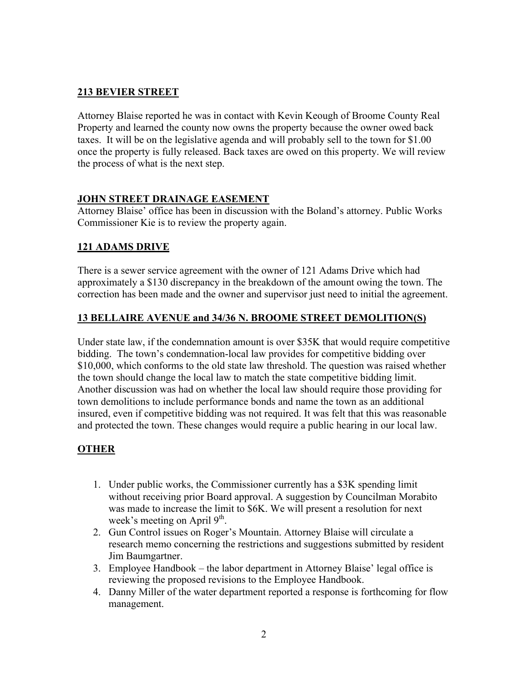## **213 BEVIER STREET**

Attorney Blaise reported he was in contact with Kevin Keough of Broome County Real Property and learned the county now owns the property because the owner owed back taxes. It will be on the legislative agenda and will probably sell to the town for \$1.00 once the property is fully released. Back taxes are owed on this property. We will review the process of what is the next step.

## **JOHN STREET DRAINAGE EASEMENT**

Attorney Blaise' office has been in discussion with the Boland's attorney. Public Works Commissioner Kie is to review the property again.

## **121 ADAMS DRIVE**

There is a sewer service agreement with the owner of 121 Adams Drive which had approximately a \$130 discrepancy in the breakdown of the amount owing the town. The correction has been made and the owner and supervisor just need to initial the agreement.

## **13 BELLAIRE AVENUE and 34/36 N. BROOME STREET DEMOLITION(S)**

Under state law, if the condemnation amount is over \$35K that would require competitive bidding. The town's condemnation-local law provides for competitive bidding over \$10,000, which conforms to the old state law threshold. The question was raised whether the town should change the local law to match the state competitive bidding limit. Another discussion was had on whether the local law should require those providing for town demolitions to include performance bonds and name the town as an additional insured, even if competitive bidding was not required. It was felt that this was reasonable and protected the town. These changes would require a public hearing in our local law.

# **OTHER**

- 1. Under public works, the Commissioner currently has a \$3K spending limit without receiving prior Board approval. A suggestion by Councilman Morabito was made to increase the limit to \$6K. We will present a resolution for next week's meeting on April  $9<sup>th</sup>$ .
- 2. Gun Control issues on Roger's Mountain. Attorney Blaise will circulate a research memo concerning the restrictions and suggestions submitted by resident Jim Baumgartner.
- 3. Employee Handbook the labor department in Attorney Blaise' legal office is reviewing the proposed revisions to the Employee Handbook.
- 4. Danny Miller of the water department reported a response is forthcoming for flow management.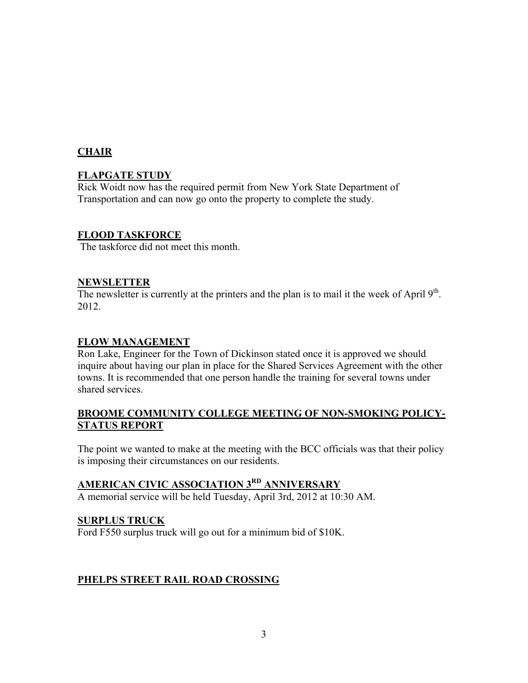## **CHAIR**

## **FLAPGATE STUDY**

Rick Woidt now has the required permit from New York State Department of Transportation and can now go onto the property to complete the study.

## **FLOOD TASKFORCE**

The taskforce did not meet this month.

## **NEWSLETTER**

The newsletter is currently at the printers and the plan is to mail it the week of April 9<sup>th</sup>. 2012.

### **FLOW MANAGEMENT**

Ron Lake, Engineer for the Town of Dickinson stated once it is approved we should inquire about having our plan in place for the Shared Services Agreement with the other towns. It is recommended that one person handle the training for several towns under shared services.

## **BROOME COMMUNITY COLLEGE MEETING OF NON-SMOKING POLICY-STATUS REPORT**

The point we wanted to make at the meeting with the BCC officials was that their policy is imposing their circumstances on our residents.

# **AMERICAN CIVIC ASSOCIATION 3RD ANNIVERSARY**

A memorial service will be held Tuesday, April 3rd, 2012 at 10:30 AM.

## **SURPLUS TRUCK**

Ford F550 surplus truck will go out for a minimum bid of \$10K.

## **PHELPS STREET RAIL ROAD CROSSING**